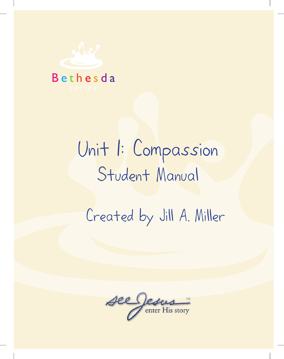

# Unit 1: Compassion Student Manual

Created by Jill A. Miller

B e t h e s d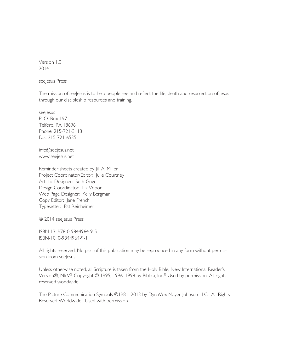Version 1.0 2014

seeJesus Press

The mission of seeJesus is to help people see and reflect the life, death and resurrection of Jesus through our discipleship resources and training.

seeJesus P. O. Box 197 Telford, PA 18696 Phone: 215-721-3113 Fax: 215-721-6535

info@seejesus.net www.seejesus.net

Reminder sheets created by Jill A. Miller Project Coordinator/Editor: Julie Courtney Artistic Designer: Seth Guge Design Coordinator: Liz Voboril Web Page Designer: Kelly Bergman Copy Editor: Jane French Typesetter: Pat Reinheimer

© 2014 seeJesus Press

ISBN-13: 978-0-9844964-9-5 ISBN-10: 0-9844964-9-1

All rights reserved. No part of this publication may be reproduced in any form without permission from seeJesus.

Unless otherwise noted, all Scripture is taken from the Holy Bible, New International Reader's Version®, NIrV<sup>®</sup> Copyright © 1995, 1996, 1998 by Biblica, Inc.<sup>®</sup> Used by permission. All rights reserved worldwide.

The Picture Communication Symbols ©1981–2013 by DynaVox Mayer-Johnson LLC. All Rights Reserved Worldwide. Used with permission.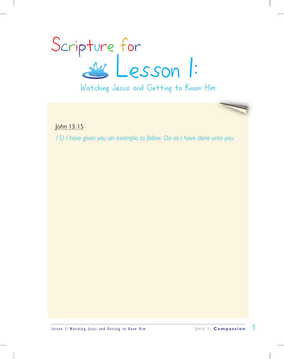

Watching Jesus and Getting to Know Him

John 13:15

*15) I have given you an example to follow. Do as I have done unto you.*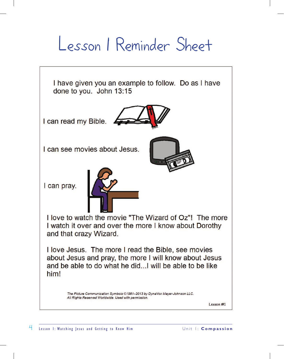## Lesson 1 Reminder Sheet

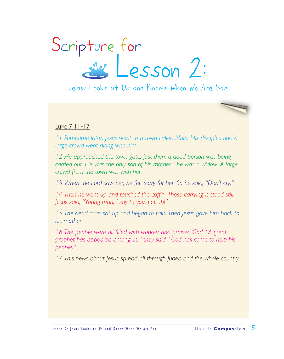

Jesus Looks at Us and Knows When We Are Sad

### Luke 7:11-17

*11 Sometime later, Jesus went to a town called Nain. His disciples and a large crowd went along with him.* 

*12 He approached the town gate. Just then, a dead person was being carried out. He was the only son of his mother. She was a widow. A large crowd from the town was with her.* 

*13 When the Lord saw her, he felt sorry for her. So he said, "Don't cry."* 

*14 Then he went up and touched the coffin. Those carrying it stood still. Jesus said, "Young man, I say to you, get up!"* 

*15 The dead man sat up and began to talk. Then Jesus gave him back to his mother.* 

16 The people were all filled with wonder and praised God. "A great *prophet has appeared among us," they said. "God has come to help his people."* 

*17 This news about Jesus spread all through Judea and the whole country.*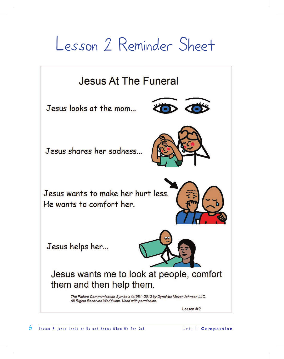## Lesson 2 Reminder Sheet